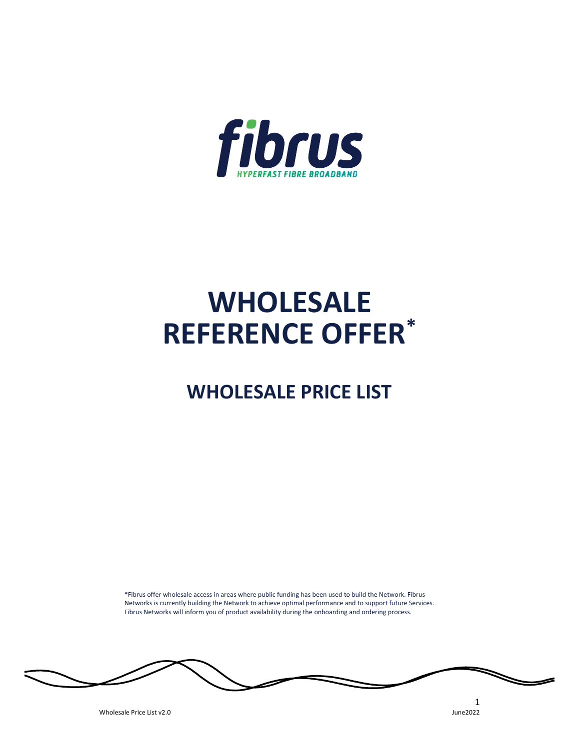

# WHOLESALE REFERENCE OFFER\*

## WHOLESALE PRICE LIST

\*Fibrus offer wholesale access in areas where public funding has been used to build the Network. Fibrus Networks is currently building the Network to achieve optimal performance and to support future Services. Fibrus Networks will inform you of product availability during the onboarding and ordering process.

Wholesale Price List v2.0

 $\frac{1}{2}$ June2022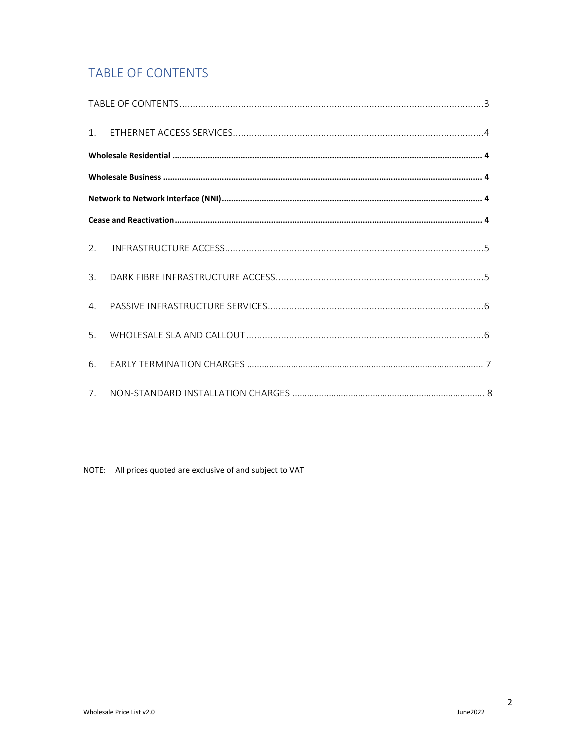## **TABLE OF CONTENTS**

| 2.             |  |
|----------------|--|
| $\mathbf{3}$ . |  |
| $\mathbf{4}$ . |  |
| 5.             |  |
| 6.             |  |
| 7 <sub>1</sub> |  |

NOTE: All prices quoted are exclusive of and subject to VAT

 $\overline{2}$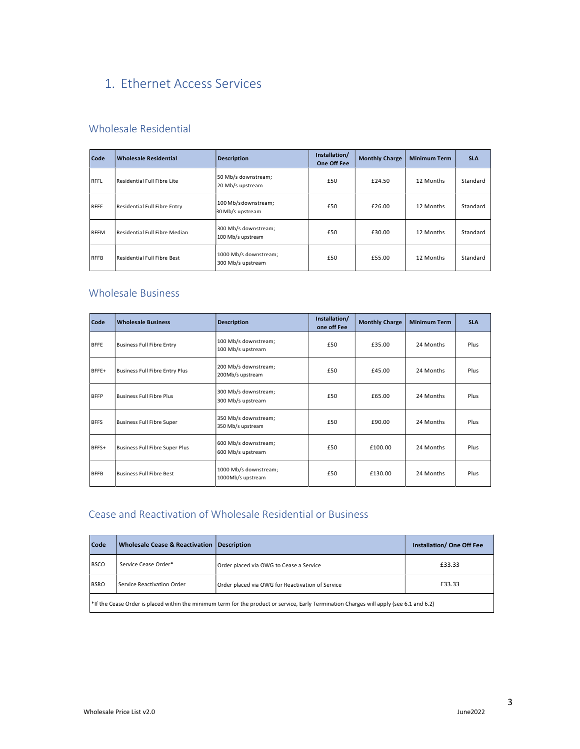## 1. Ethernet Access Services

#### Wholesale Residential

| Code        | <b>Wholesale Residential</b>  | Description                                | Installation/<br>One Off Fee | <b>Monthly Charge</b> | <b>Minimum Term</b> | <b>SLA</b> |
|-------------|-------------------------------|--------------------------------------------|------------------------------|-----------------------|---------------------|------------|
| RFFL        | Residential Full Fibre Lite   | 50 Mb/s downstream;<br>20 Mb/s upstream    | £50                          | £24.50                | 12 Months           | Standard   |
| RFFE        | Residential Full Fibre Entry  | 100 Mb/sdownstream;<br>30 Mb/s upstream    | £50                          | £26.00                | 12 Months           | Standard   |
| <b>RFFM</b> | Residential Full Fibre Median | 300 Mb/s downstream;<br>100 Mb/s upstream  | £50                          | £30.00                | 12 Months           | Standard   |
| <b>RFFB</b> | Residential Full Fibre Best   | 1000 Mb/s downstream;<br>300 Mb/s upstream | £50                          | £55.00                | 12 Months           | Standard   |

#### Wholesale Business

| Code        | <b>Wholesale Business</b>       | <b>Description</b>                         | Installation/<br>one off Fee | <b>Monthly Charge</b> | <b>Minimum Term</b> | <b>SLA</b> |
|-------------|---------------------------------|--------------------------------------------|------------------------------|-----------------------|---------------------|------------|
| <b>BFFE</b> | Business Full Fibre Entry       | 100 Mb/s downstream;<br>100 Mb/s upstream  | £50                          | £35.00                | 24 Months           | Plus       |
| BFFE+       | Business Full Fibre Entry Plus  | 200 Mb/s downstream;<br>200Mb/s upstream   | £50                          | £45.00                | 24 Months           | Plus       |
| <b>BFFP</b> | <b>Business Full Fibre Plus</b> | 300 Mb/s downstream;<br>300 Mb/s upstream  | £50                          | £65.00                | 24 Months           | Plus       |
| <b>BFFS</b> | Business Full Fibre Super       | 350 Mb/s downstream;<br>350 Mb/s upstream  | £50                          | £90.00                | 24 Months           | Plus       |
| BFFS+       | Business Full Fibre Super Plus  | 600 Mb/s downstream;<br>600 Mb/s upstream  | £50                          | £100.00               | 24 Months           | Plus       |
| <b>BFFB</b> | <b>Business Full Fibre Best</b> | 1000 Mb/s downstream;<br>1000Mb/s upstream | £50                          | £130.00               | 24 Months           | Plus       |

### Cease and Reactivation of Wholesale Residential or Business

| Code        | <b>Wholesale Cease &amp; Reactivation Description</b>                                                                                                |                                                  | <b>Installation/ One Off Fee</b> |  |  |  |  |
|-------------|------------------------------------------------------------------------------------------------------------------------------------------------------|--------------------------------------------------|----------------------------------|--|--|--|--|
| <b>BSCO</b> | Service Cease Order*                                                                                                                                 | Order placed via OWG to Cease a Service          | £33.33                           |  |  |  |  |
| <b>BSRO</b> | Service Reactivation Order                                                                                                                           | Order placed via OWG for Reactivation of Service | £33.33                           |  |  |  |  |
|             | <sup>*</sup> If the Cease Order is placed within the minimum term for the product or service, Early Termination Charges will apply (see 6.1 and 6.2) |                                                  |                                  |  |  |  |  |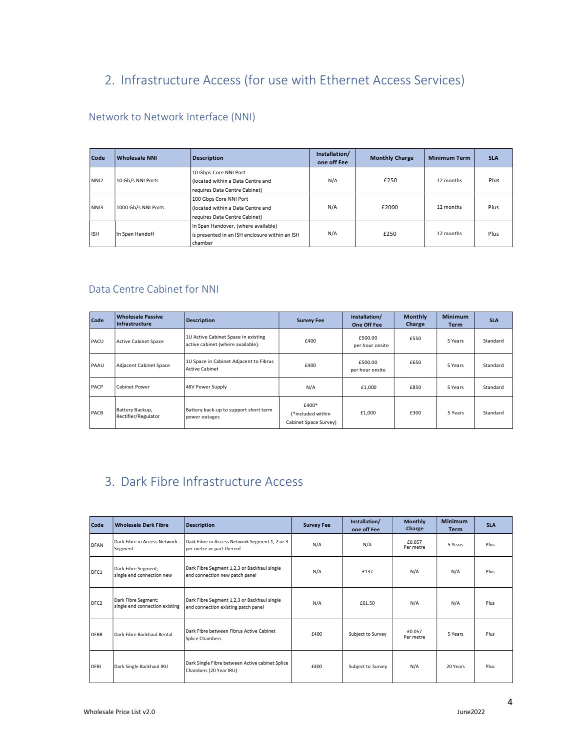## 2. Infrastructure Access (for use with Ethernet Access Services)

#### Network to Network Interface (NNI)

| Code             | Wholesale NNI       | Description                                                                                      | Installation/<br>one off Fee | <b>Monthly Charge</b> | <b>Minimum Term</b> | <b>SLA</b> |
|------------------|---------------------|--------------------------------------------------------------------------------------------------|------------------------------|-----------------------|---------------------|------------|
| NN <sub>12</sub> | 10 Gb/s NNI Ports   | 10 Gbps Core NNI Port<br>(located within a Data Centre and<br>requires Data Centre Cabinet)      | N/A                          | £250                  | 12 months           | Plus       |
| NNI3             | 1000 Gb/s NNI Ports | 100 Gbps Core NNI Port<br>(located within a Data Centre and<br>requires Data Centre Cabinet)     | N/A                          | £2000                 | 12 months           | Plus       |
| <b>I</b> ISH     | In Span Handoff     | In Span Handover, (where available)<br>is presented in an ISH enclosure within an ISH<br>chamber | N/A                          | £250                  | 12 months           | Plus       |

#### Data Centre Cabinet for NNI

| Code | <b>Wholesale Passive</b><br>Infrastructure | Description                                                              | <b>Survey Fee</b>                                   | Installation/<br>One Off Fee | <b>Monthly</b><br>Charge | <b>Minimum</b><br><b>Term</b> | <b>SLA</b> |
|------|--------------------------------------------|--------------------------------------------------------------------------|-----------------------------------------------------|------------------------------|--------------------------|-------------------------------|------------|
| PACU | Active Cabinet Space                       | 1U Active Cabinet Space in existing<br>active cabinet (where available). | £400                                                | £500.00<br>per hour onsite   | £550                     | 5 Years                       | Standard   |
| PAAU | Adjacent Cabinet Space                     | 1U Space in Cabinet Adjacent to Fibrus<br>Active Cabinet                 | £400                                                | £500.00<br>per hour onsite   | £650                     | 5 Years                       | Standard   |
| PACP | Cabinet Power                              | 48V Power Supply                                                         | N/A                                                 | £1,000                       | £850                     | 5 Years                       | Standard   |
| PACB | Battery Backup,<br>Rectifier/Regulator     | Battery back-up to support short term<br>power outages                   | £400*<br>(*included within<br>Cabinet Space Survey) | £1,000                       | £300                     | 5 Years                       | Standard   |

## 3. Dark Fibre Infrastructure Access

| Code             | <b>Wholesale Dark Fibre</b>                           | <b>Description</b>                                                                 | <b>Survey Fee</b> | Installation/<br>one off Fee | <b>Monthly</b><br>Charge | <b>Minimum</b><br>Term | <b>SLA</b> |
|------------------|-------------------------------------------------------|------------------------------------------------------------------------------------|-------------------|------------------------------|--------------------------|------------------------|------------|
| <b>DFAN</b>      | Dark Fibre in Access Network<br>Segment               | Dark Fibre in Access Network Segment 1, 2 or 3<br>per metre or part thereof        | N/A               | N/A                          | £0.057<br>Per metre      | 5 Years                | Plus       |
| DFC1             | Dark Fibre Segment;<br>single end connection new      | Dark Fibre Segment 1,2,3 or Backhaul single<br>end connection new patch panel      | N/A               | £137                         | N/A                      | N/A                    | Plus       |
| DFC <sub>2</sub> | Dark Fibre Segment;<br>single end connection existing | Dark Fibre Segment 1,2,3 or Backhaul single<br>end connection existing patch panel | N/A               | £61.50                       | N/A                      | N/A                    | Plus       |
| DFBR             | Dark Fibre Backhaul Rental                            | Dark Fibre between Fibrus Active Cabinet<br>Splice Chambers                        | £400              | Subject to Survey            | £0.057<br>Per metre      | 5 Years                | Plus       |
| <b>DFBI</b>      | Dark Single Backhaul IRU                              | Dark Single Fibre between Active cabinet Splice<br>Chambers (20 Year IRU)          | £400              | Subject to Survey            | N/A                      | 20 Years               | Plus       |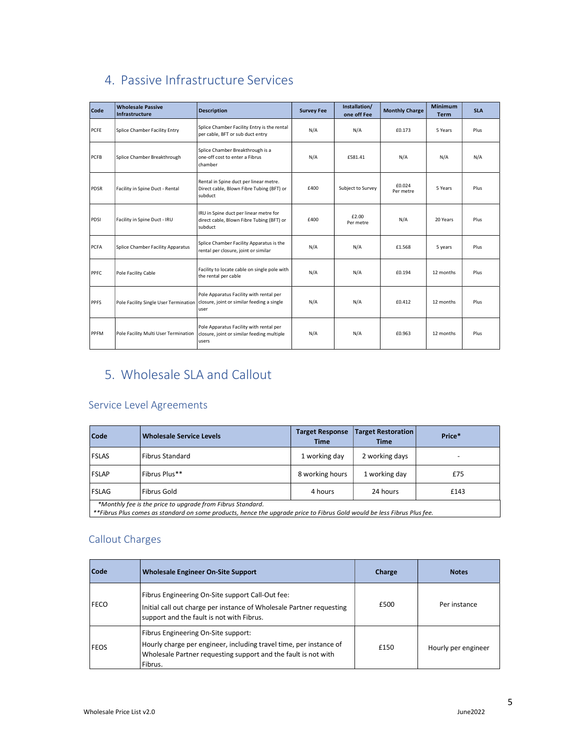| Code | <b>Wholesale Passive</b><br>Infrastructure | <b>Description</b>                                                                             | <b>Survey Fee</b> | Installation/<br>one off Fee | <b>Monthly Charge</b> | Minimum<br><b>Term</b> | <b>SLA</b> |
|------|--------------------------------------------|------------------------------------------------------------------------------------------------|-------------------|------------------------------|-----------------------|------------------------|------------|
| PCFE | Splice Chamber Facility Entry              | Splice Chamber Facility Entry is the rental<br>per cable, BFT or sub duct entry                | N/A               | N/A                          | £0.173                | 5 Years                | Plus       |
| PCFB | Splice Chamber Breakthrough                | Splice Chamber Breakthrough is a<br>one-off cost to enter a Fibrus<br>  chamber                | N/A               | £581.41                      | N/A                   | N/A                    | N/A        |
| PDSR | Facility in Spine Duct - Rental            | Rental in Spine duct per linear metre.<br>Direct cable, Blown Fibre Tubing (BFT) or<br>subduct | £400              | Subject to Survey            | £0.024<br>Per metre   | 5 Years                | Plus       |
| PDSI | Facility in Spine Duct - IRU               | IRU in Spine duct per linear metre for<br>direct cable, Blown Fibre Tubing (BFT) or<br>subduct | £400              | £2.00<br>Per metre           | N/A                   | 20 Years               | Plus       |
| PCFA | Splice Chamber Facility Apparatus          | Splice Chamber Facility Apparatus is the<br>rental per closure, joint or similar               | N/A               | N/A                          | £1.568                | 5 years                | Plus       |
| PPFC | Pole Facility Cable                        | Facility to locate cable on single pole with<br>the rental per cable                           | N/A               | N/A                          | £0.194                | 12 months              | Plus       |
| PPFS | Pole Facility Single User Termination      | Pole Apparatus Facility with rental per<br>closure, joint or similar feeding a single<br>user  | N/A               | N/A                          | £0.412                | 12 months              | Plus       |
| PPFM | Pole Facility Multi User Termination       | Pole Apparatus Facility with rental per<br>closure, joint or similar feeding multiple<br>users | N/A               | N/A                          | £0.963                | 12 months              | Plus       |

## 4. Passive Infrastructure Services

## 5. Wholesale SLA and Callout

#### Service Level Agreements

| Code                                                                                                                                                                                  | <b>Wholesale Service Levels</b> | <b>Target Response</b><br><b>Time</b> | <b>Target Restoration</b><br><b>Time</b> | Price* |  |  |  |
|---------------------------------------------------------------------------------------------------------------------------------------------------------------------------------------|---------------------------------|---------------------------------------|------------------------------------------|--------|--|--|--|
| <b>FSLAS</b>                                                                                                                                                                          | <b>Fibrus Standard</b>          | 1 working day                         | 2 working days                           |        |  |  |  |
| <b>FSLAP</b>                                                                                                                                                                          | Fibrus Plus**                   | 8 working hours                       | 1 working day                            | £75    |  |  |  |
| FSLAG                                                                                                                                                                                 | Fibrus Gold                     | 4 hours                               | 24 hours                                 | £143   |  |  |  |
| *Monthly fee is the price to upgrade from Fibrus Standard.<br>**Fibrus Plus comes as standard on some products, hence the upgrade price to Fibrus Gold would be less Fibrus Plus fee. |                                 |                                       |                                          |        |  |  |  |

#### Callout Charges

| Code        | Wholesale Engineer On-Site Support                                                                                                                                                     | Charge | <b>Notes</b>        |
|-------------|----------------------------------------------------------------------------------------------------------------------------------------------------------------------------------------|--------|---------------------|
| <b>FECO</b> | Fibrus Engineering On-Site support Call-Out fee:<br>Initial call out charge per instance of Wholesale Partner requesting<br>support and the fault is not with Fibrus.                  | £500   | Per instance        |
| <b>FEOS</b> | Fibrus Engineering On-Site support:<br>Hourly charge per engineer, including travel time, per instance of<br>Wholesale Partner requesting support and the fault is not with<br>Fibrus. | £150   | Hourly per engineer |